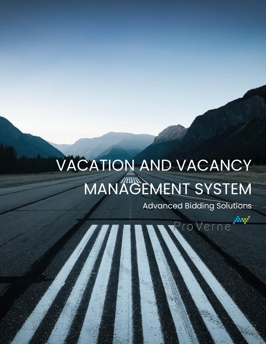# VACATION AND VACANCY MANAGEMENT SYSTEM

Advanced Bidding Solutions

ProVerne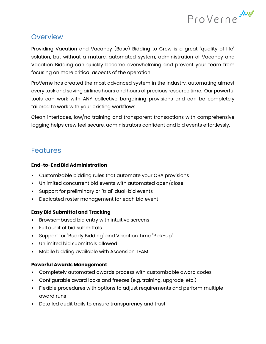

### **Overview**

Providing Vacation and Vacancy (Base) Bidding to Crew is a great "quality of life" solution, but without a mature, automated system, administration of Vacancy and Vacation Bidding can quickly become overwhelming and prevent your team from focusing on more critical aspects of the operation.

ProVerne has created the most advanced system in the industry, automating almost every task and saving airlines hours and hours of precious resource time. Our powerful tools can work with ANY collective bargaining provisions and can be completely tailored to work with your existing workflows.

Clean interfaces, low/no training and transparent transactions with comprehensive logging helps crew feel secure, administrators confident and bid events effortlessly.

## Features

#### **End-to-End Bid Administration**

- Customizable bidding rules that automate your CBA provisions
- Unlimited concurrent bid events with automated open/close
- Support for preliminary or "trial" dual-bid events
- Dedicated roster management for each bid event

#### **Easy Bid Submittal and Tracking**

- Browser-based bid entry with intuitive screens
- Full audit of bid submittals
- Support for "Buddy Bidding" and Vacation Time "Pick-up"
- Unlimited bid submittals allowed
- Mobile bidding available with Ascension TEAM

#### **Powerful Awards Management**

- Completely automated awards process with customizable award codes
- Configurable award locks and freezes (e.g. training, upgrade, etc.)
- Flexible procedures with options to adjust requirements and perform multiple award runs
- Detailed audit trails to ensure transparency and trust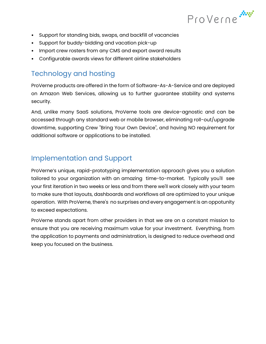

- Support for standing bids, swaps, and backfill of vacancies
- Support for buddy-bidding and vacation pick-up
- Import crew rosters from any CMS and export award results
- Configurable awards views for different airline stakeholders

# Technology and hosting

ProVerne products are offered in the form of Software-As-A-Service and are deployed on Amazon Web Services, allowing us to further guarantee stability and systems security.

And, unlike many SaaS solutions, ProVerne tools are device-agnostic and can be accessed through any standard web or mobile browser, eliminating roll-out/upgrade downtime, supporting Crew "Bring Your Own Device", and having NO requirement for additional software or applications to be installed.

## Implementation and Support

ProVerne's unique, rapid-prototyping implementation approach gives you a solution tailored to your organization with an amazing time-to-market. Typically you'll see your first iteration in two weeks or less and from there we'll work closely with your team to make sure that layouts, dashboards and workflows all are optimized to your unique operation. With ProVerne, there's no surprises and every engagement is an oppotunity to exceed expectations.

ProVerne stands apart from other providers in that we are on a constant mission to ensure that you are receiving maximum value for your investment. Everything, from the application to payments and administration, is designed to reduce overhead and keep you focused on the business.